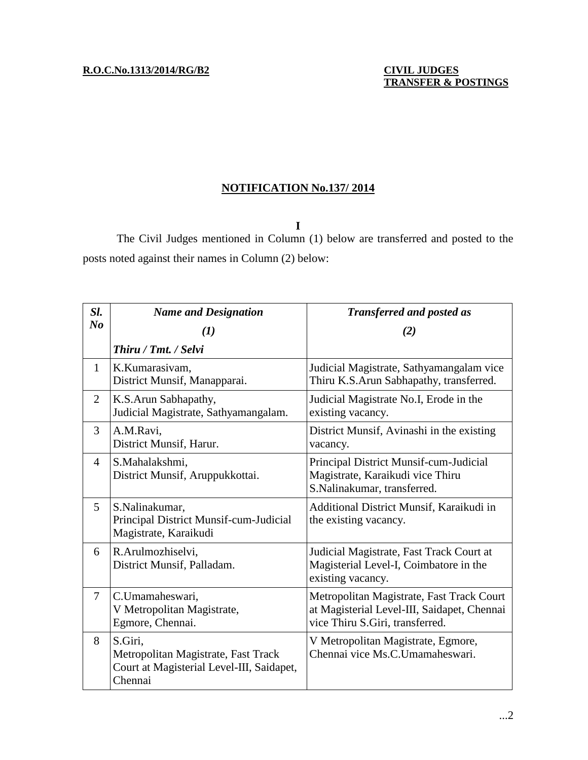## **NOTIFICATION No.137/ 2014**

**I**

The Civil Judges mentioned in Column (1) below are transferred and posted to the posts noted against their names in Column (2) below:

| Sl.                            | <b>Name and Designation</b>                                                                            | <b>Transferred and posted as</b>                                                                                            |
|--------------------------------|--------------------------------------------------------------------------------------------------------|-----------------------------------------------------------------------------------------------------------------------------|
| $\boldsymbol{N}\boldsymbol{o}$ | $\bf(1)$                                                                                               | (2)                                                                                                                         |
|                                | Thiru / Tmt. / Selvi                                                                                   |                                                                                                                             |
| $\mathbf{1}$                   | K.Kumarasivam,<br>District Munsif, Manapparai.                                                         | Judicial Magistrate, Sathyamangalam vice<br>Thiru K.S.Arun Sabhapathy, transferred.                                         |
| 2                              | K.S.Arun Sabhapathy,<br>Judicial Magistrate, Sathyamangalam.                                           | Judicial Magistrate No.I, Erode in the<br>existing vacancy.                                                                 |
| 3                              | A.M.Ravi,<br>District Munsif, Harur.                                                                   | District Munsif, Avinashi in the existing<br>vacancy.                                                                       |
| $\overline{4}$                 | S.Mahalakshmi,<br>District Munsif, Aruppukkottai.                                                      | Principal District Munsif-cum-Judicial<br>Magistrate, Karaikudi vice Thiru<br>S.Nalinakumar, transferred.                   |
| 5                              | S.Nalinakumar,<br>Principal District Munsif-cum-Judicial<br>Magistrate, Karaikudi                      | Additional District Munsif, Karaikudi in<br>the existing vacancy.                                                           |
| 6                              | R.Arulmozhiselvi,<br>District Munsif, Palladam.                                                        | Judicial Magistrate, Fast Track Court at<br>Magisterial Level-I, Coimbatore in the<br>existing vacancy.                     |
| $\overline{7}$                 | C.Umamaheswari,<br>V Metropolitan Magistrate,<br>Egmore, Chennai.                                      | Metropolitan Magistrate, Fast Track Court<br>at Magisterial Level-III, Saidapet, Chennai<br>vice Thiru S.Giri, transferred. |
| 8                              | S.Giri,<br>Metropolitan Magistrate, Fast Track<br>Court at Magisterial Level-III, Saidapet,<br>Chennai | V Metropolitan Magistrate, Egmore,<br>Chennai vice Ms.C.Umamaheswari.                                                       |